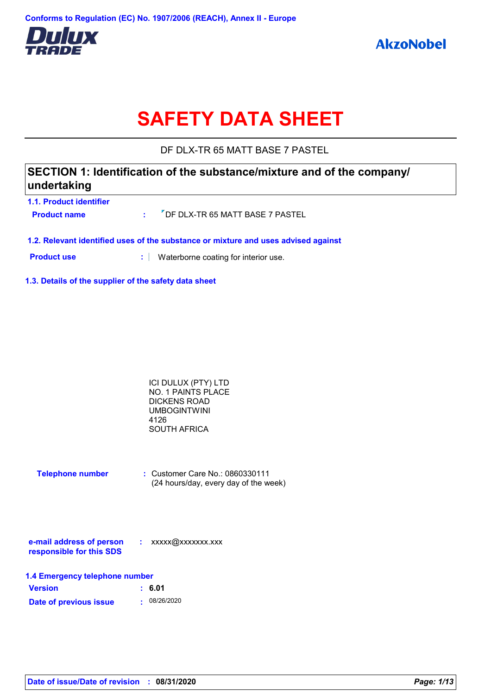

# **SAFETY DATA SHEET**

DF DLX-TR 65 MATT BASE 7 PASTEL

# **SECTION 1: Identification of the substance/mixture and of the company/ undertaking**

| 1.1. Product identifier |                                                |
|-------------------------|------------------------------------------------|
| <b>Product name</b>     | : <sup>7</sup> DF DLX-TR 65 MATT BASE 7 PASTEL |
|                         |                                                |

**1.2. Relevant identified uses of the substance or mixture and uses advised against**

**Product use <b>:** Waterborne coating for interior use.

**1.3. Details of the supplier of the safety data sheet**

| ICI DULUX (PTY) LTD |  |
|---------------------|--|
| NO. 1 PAINTS PLACE  |  |
| DICKENS ROAD        |  |
| <b>UMBOGINTWINI</b> |  |
| 4126                |  |
| <b>SOUTH AFRICA</b> |  |

| <b>Telephone number</b> | $\therefore$ Customer Care No.: 0860330111 |
|-------------------------|--------------------------------------------|
|                         | (24 hours/day, every day of the week)      |

| e-mail address of person | xxxxx@xxxxxxx.xxx |
|--------------------------|-------------------|
| responsible for this SDS |                   |

| 1.4 Emergency telephone number |              |  |  |  |
|--------------------------------|--------------|--|--|--|
| <b>Version</b>                 | : 6.01       |  |  |  |
| Date of previous issue         | . 08/26/2020 |  |  |  |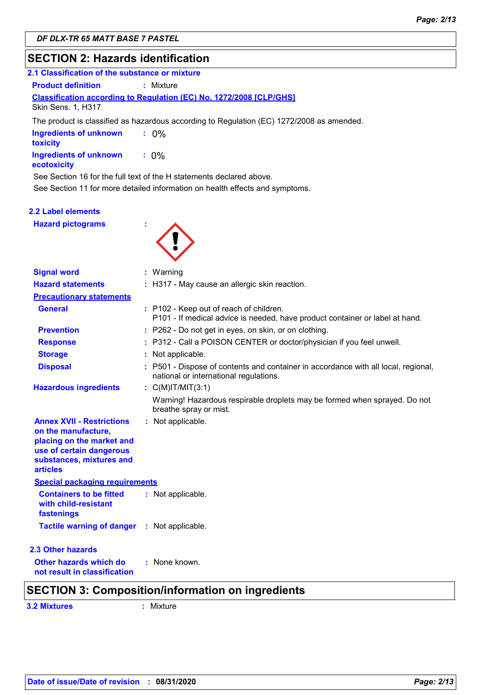# **SECTION 2: Hazards identification**

| 2.1 Classification of the substance or mixture |                                                                                           |
|------------------------------------------------|-------------------------------------------------------------------------------------------|
| <b>Product definition</b>                      | : Mixture                                                                                 |
| Skin Sens. 1, H317                             | <b>Classification according to Regulation (EC) No. 1272/2008 [CLP/GHS]</b>                |
|                                                | The product is classified as hazardous according to Regulation (EC) 1272/2008 as amended. |
| <b>Ingredients of unknown</b><br>toxicity      | $: 0\%$                                                                                   |
| Ingredients of unknown<br>ecotoxicity          | $: 0\%$                                                                                   |
|                                                | See Section 16 for the full text of the H statements declared above.                      |
|                                                | See Section 11 for more detailed information on health effects and symptoms.              |
| .                                              |                                                                                           |

#### **2.2 Label elements**

**Hazard pictograms :**



| <b>Signal word</b>                                                                                                                                              | $:$ Warning                                                                                                                  |  |
|-----------------------------------------------------------------------------------------------------------------------------------------------------------------|------------------------------------------------------------------------------------------------------------------------------|--|
| <b>Hazard statements</b>                                                                                                                                        | : H317 - May cause an allergic skin reaction.                                                                                |  |
| <b>Precautionary statements</b>                                                                                                                                 |                                                                                                                              |  |
| <b>General</b>                                                                                                                                                  | : P102 - Keep out of reach of children.<br>P101 - If medical advice is needed, have product container or label at hand.      |  |
| <b>Prevention</b>                                                                                                                                               | : P262 - Do not get in eyes, on skin, or on clothing.                                                                        |  |
| <b>Response</b>                                                                                                                                                 | : P312 - Call a POISON CENTER or doctor/physician if you feel unwell.                                                        |  |
| <b>Storage</b>                                                                                                                                                  | : Not applicable.                                                                                                            |  |
| <b>Disposal</b>                                                                                                                                                 | : P501 - Dispose of contents and container in accordance with all local, regional,<br>national or international regulations. |  |
| <b>Hazardous ingredients</b>                                                                                                                                    | : $C(M)IT/MIT(3:1)$                                                                                                          |  |
|                                                                                                                                                                 | Warning! Hazardous respirable droplets may be formed when sprayed. Do not<br>breathe spray or mist.                          |  |
| <b>Annex XVII - Restrictions</b><br>on the manufacture,<br>placing on the market and<br>use of certain dangerous<br>substances, mixtures and<br><b>articles</b> | : Not applicable.                                                                                                            |  |
| <b>Special packaging requirements</b>                                                                                                                           |                                                                                                                              |  |
| <b>Containers to be fitted</b><br>with child-resistant<br>fastenings                                                                                            | : Not applicable.                                                                                                            |  |
| <b>Tactile warning of danger : Not applicable.</b>                                                                                                              |                                                                                                                              |  |
| 2.3 Other hazards                                                                                                                                               |                                                                                                                              |  |
| Other hazards which do<br>not result in classification                                                                                                          | : None known.                                                                                                                |  |
|                                                                                                                                                                 | <b>SECTION 3: Composition/information on ingredients</b>                                                                     |  |

**3.2 Mixtures :** Mixture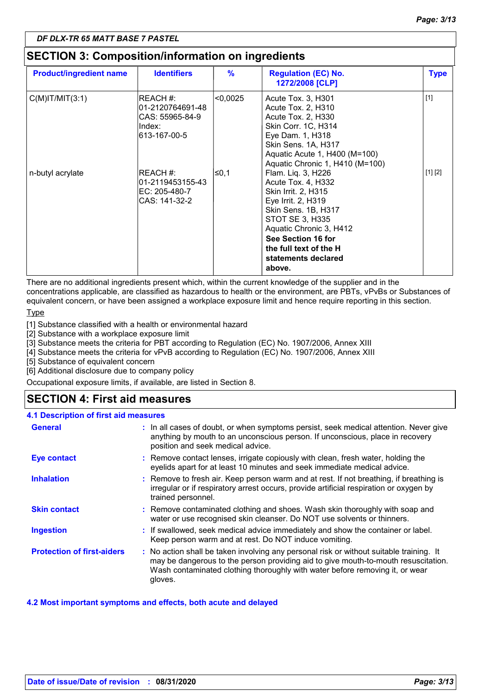# **SECTION 3: Composition/information on ingredients**

| <b>Product/ingredient name</b> | <b>Identifiers</b>                                                         | $\%$     | <b>Regulation (EC) No.</b><br>1272/2008 [CLP]                                                                                                                                                                                               | <b>Type</b> |
|--------------------------------|----------------------------------------------------------------------------|----------|---------------------------------------------------------------------------------------------------------------------------------------------------------------------------------------------------------------------------------------------|-------------|
| $C(M)$ IT/MIT $(3:1)$          | REACH #:<br>01-2120764691-48<br>CAS: 55965-84-9<br>Index:<br>l613-167-00-5 | < 0,0025 | Acute Tox. 3, H301<br>Acute Tox. 2, H310<br>Acute Tox. 2, H330<br>Skin Corr. 1C, H314<br>Eye Dam. 1, H318<br>Skin Sens. 1A, H317<br>Aquatic Acute 1, H400 (M=100)<br>Aquatic Chronic 1, H410 (M=100)                                        | $[1]$       |
| n-butyl acrylate               | REACH #:<br>01-2119453155-43<br>EC: 205-480-7<br>CAS: 141-32-2             | ∣≤0,1    | Flam. Liq. 3, H226<br>Acute Tox. 4, H332<br>Skin Irrit. 2, H315<br>Eye Irrit. 2, H319<br>Skin Sens. 1B, H317<br>STOT SE 3, H335<br>Aquatic Chronic 3, H412<br>See Section 16 for<br>the full text of the H<br>statements declared<br>above. | [1] [2]     |

There are no additional ingredients present which, within the current knowledge of the supplier and in the concentrations applicable, are classified as hazardous to health or the environment, are PBTs, vPvBs or Substances of equivalent concern, or have been assigned a workplace exposure limit and hence require reporting in this section.

Type

[1] Substance classified with a health or environmental hazard

[2] Substance with a workplace exposure limit

[3] Substance meets the criteria for PBT according to Regulation (EC) No. 1907/2006, Annex XIII

[4] Substance meets the criteria for vPvB according to Regulation (EC) No. 1907/2006, Annex XIII

[5] Substance of equivalent concern

[6] Additional disclosure due to company policy

Occupational exposure limits, if available, are listed in Section 8.

# **SECTION 4: First aid measures**

#### **4.1 Description of first aid measures**

| <b>General</b>                    | : In all cases of doubt, or when symptoms persist, seek medical attention. Never give<br>anything by mouth to an unconscious person. If unconscious, place in recovery<br>position and seek medical advice.                                                              |
|-----------------------------------|--------------------------------------------------------------------------------------------------------------------------------------------------------------------------------------------------------------------------------------------------------------------------|
| <b>Eye contact</b>                | : Remove contact lenses, irrigate copiously with clean, fresh water, holding the<br>eyelids apart for at least 10 minutes and seek immediate medical advice.                                                                                                             |
| <b>Inhalation</b>                 | : Remove to fresh air. Keep person warm and at rest. If not breathing, if breathing is<br>irregular or if respiratory arrest occurs, provide artificial respiration or oxygen by<br>trained personnel.                                                                   |
| <b>Skin contact</b>               | : Remove contaminated clothing and shoes. Wash skin thoroughly with soap and<br>water or use recognised skin cleanser. Do NOT use solvents or thinners.                                                                                                                  |
| <b>Ingestion</b>                  | : If swallowed, seek medical advice immediately and show the container or label.<br>Keep person warm and at rest. Do NOT induce vomiting.                                                                                                                                |
| <b>Protection of first-aiders</b> | : No action shall be taken involving any personal risk or without suitable training. It<br>may be dangerous to the person providing aid to give mouth-to-mouth resuscitation.<br>Wash contaminated clothing thoroughly with water before removing it, or wear<br>gloves. |

#### **4.2 Most important symptoms and effects, both acute and delayed**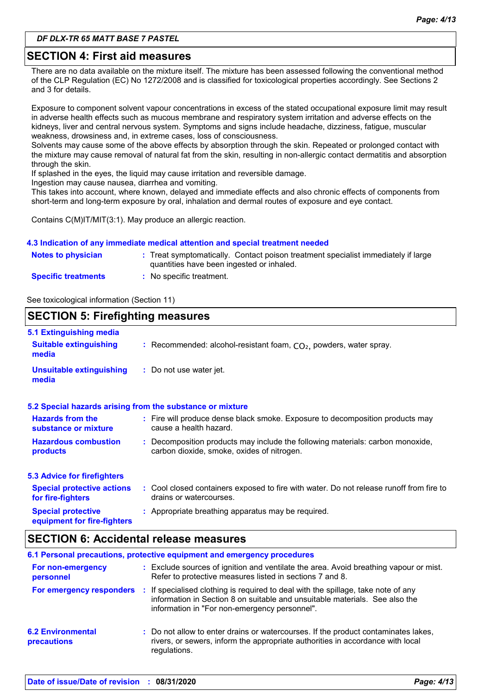## **SECTION 4: First aid measures**

There are no data available on the mixture itself. The mixture has been assessed following the conventional method of the CLP Regulation (EC) No 1272/2008 and is classified for toxicological properties accordingly. See Sections 2 and 3 for details.

Exposure to component solvent vapour concentrations in excess of the stated occupational exposure limit may result in adverse health effects such as mucous membrane and respiratory system irritation and adverse effects on the kidneys, liver and central nervous system. Symptoms and signs include headache, dizziness, fatigue, muscular weakness, drowsiness and, in extreme cases, loss of consciousness.

Solvents may cause some of the above effects by absorption through the skin. Repeated or prolonged contact with the mixture may cause removal of natural fat from the skin, resulting in non-allergic contact dermatitis and absorption through the skin.

If splashed in the eyes, the liquid may cause irritation and reversible damage.

Ingestion may cause nausea, diarrhea and vomiting.

This takes into account, where known, delayed and immediate effects and also chronic effects of components from short-term and long-term exposure by oral, inhalation and dermal routes of exposure and eye contact.

Contains C(M)IT/MIT(3:1). May produce an allergic reaction.

#### **4.3 Indication of any immediate medical attention and special treatment needed**

| Notes to physician         | : Treat symptomatically. Contact poison treatment specialist immediately if large<br>quantities have been ingested or inhaled. |
|----------------------------|--------------------------------------------------------------------------------------------------------------------------------|
| <b>Specific treatments</b> | No specific treatment.                                                                                                         |

See toxicological information (Section 11)

#### **SECTION 5: Firefighting measures** Recommended: alcohol-resistant foam, CO₂, powders, water spray. **: :** Do not use water jet. **Hazardous combustion products Hazards from the substance or mixture Special protective 5.1 Extinguishing media :** Fire will produce dense black smoke. Exposure to decomposition products may **:** Decomposition products may include the following materials: carbon monoxide, **:** Appropriate breathing apparatus may be required. **Suitable extinguishing media Unsuitable extinguishing media 5.2 Special hazards arising from the substance or mixture 5.3 Advice for firefighters Special protective actions for fire-fighters :** Cool closed containers exposed to fire with water. Do not release runoff from fire to cause a health hazard. drains or watercourses. carbon dioxide, smoke, oxides of nitrogen.

# **SECTION 6: Accidental release measures**

**equipment for fire-fighters**

|                                         | 6.1 Personal precautions, protective equipment and emergency procedures                                                                                                                                           |
|-----------------------------------------|-------------------------------------------------------------------------------------------------------------------------------------------------------------------------------------------------------------------|
| For non-emergency<br>personnel          | : Exclude sources of ignition and ventilate the area. Avoid breathing vapour or mist.<br>Refer to protective measures listed in sections 7 and 8.                                                                 |
| For emergency responders                | : If specialised clothing is required to deal with the spillage, take note of any<br>information in Section 8 on suitable and unsuitable materials. See also the<br>information in "For non-emergency personnel". |
| <b>6.2 Environmental</b><br>precautions | : Do not allow to enter drains or watercourses. If the product contaminates lakes,<br>rivers, or sewers, inform the appropriate authorities in accordance with local<br>regulations.                              |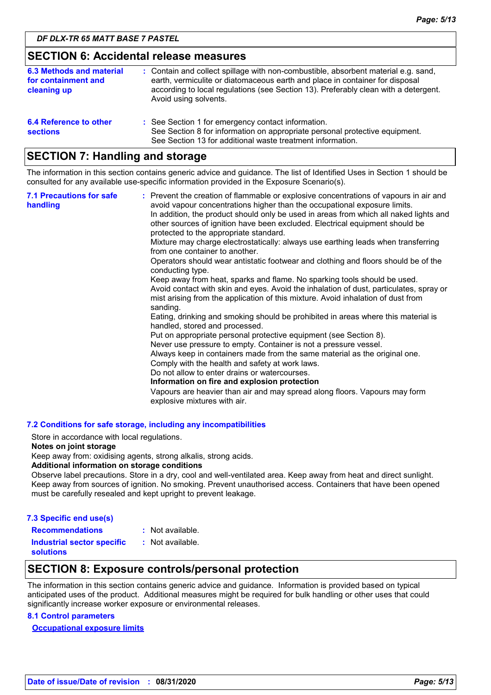## **SECTION 6: Accidental release measures**

| 6.3 Methods and material<br>for containment and<br>cleaning up | : Contain and collect spillage with non-combustible, absorbent material e.g. sand,<br>earth, vermiculite or diatomaceous earth and place in container for disposal<br>according to local regulations (see Section 13). Preferably clean with a detergent.<br>Avoid using solvents. |
|----------------------------------------------------------------|------------------------------------------------------------------------------------------------------------------------------------------------------------------------------------------------------------------------------------------------------------------------------------|
| 6.4 Reference to other<br><b>sections</b>                      | : See Section 1 for emergency contact information.<br>See Section 8 for information on appropriate personal protective equipment.<br>See Section 13 for additional waste treatment information.                                                                                    |

# **SECTION 7: Handling and storage**

The information in this section contains generic advice and guidance. The list of Identified Uses in Section 1 should be consulted for any available use-specific information provided in the Exposure Scenario(s).

| <b>7.1 Precautions for safe</b><br>handling | : Prevent the creation of flammable or explosive concentrations of vapours in air and<br>avoid vapour concentrations higher than the occupational exposure limits.<br>In addition, the product should only be used in areas from which all naked lights and<br>other sources of ignition have been excluded. Electrical equipment should be<br>protected to the appropriate standard.<br>Mixture may charge electrostatically: always use earthing leads when transferring<br>from one container to another.<br>Operators should wear antistatic footwear and clothing and floors should be of the<br>conducting type.<br>Keep away from heat, sparks and flame. No sparking tools should be used.<br>Avoid contact with skin and eyes. Avoid the inhalation of dust, particulates, spray or<br>mist arising from the application of this mixture. Avoid inhalation of dust from<br>sanding.<br>Eating, drinking and smoking should be prohibited in areas where this material is<br>handled, stored and processed.<br>Put on appropriate personal protective equipment (see Section 8).<br>Never use pressure to empty. Container is not a pressure vessel.<br>Always keep in containers made from the same material as the original one.<br>Comply with the health and safety at work laws.<br>Do not allow to enter drains or watercourses.<br>Information on fire and explosion protection<br>Vapours are heavier than air and may spread along floors. Vapours may form<br>explosive mixtures with air. |
|---------------------------------------------|--------------------------------------------------------------------------------------------------------------------------------------------------------------------------------------------------------------------------------------------------------------------------------------------------------------------------------------------------------------------------------------------------------------------------------------------------------------------------------------------------------------------------------------------------------------------------------------------------------------------------------------------------------------------------------------------------------------------------------------------------------------------------------------------------------------------------------------------------------------------------------------------------------------------------------------------------------------------------------------------------------------------------------------------------------------------------------------------------------------------------------------------------------------------------------------------------------------------------------------------------------------------------------------------------------------------------------------------------------------------------------------------------------------------------------------------------------------------------------------------------------------|
|---------------------------------------------|--------------------------------------------------------------------------------------------------------------------------------------------------------------------------------------------------------------------------------------------------------------------------------------------------------------------------------------------------------------------------------------------------------------------------------------------------------------------------------------------------------------------------------------------------------------------------------------------------------------------------------------------------------------------------------------------------------------------------------------------------------------------------------------------------------------------------------------------------------------------------------------------------------------------------------------------------------------------------------------------------------------------------------------------------------------------------------------------------------------------------------------------------------------------------------------------------------------------------------------------------------------------------------------------------------------------------------------------------------------------------------------------------------------------------------------------------------------------------------------------------------------|

#### **7.2 Conditions for safe storage, including any incompatibilities**

Store in accordance with local regulations.

#### **Notes on joint storage**

Keep away from: oxidising agents, strong alkalis, strong acids.

#### **Additional information on storage conditions**

Observe label precautions. Store in a dry, cool and well-ventilated area. Keep away from heat and direct sunlight. Keep away from sources of ignition. No smoking. Prevent unauthorised access. Containers that have been opened must be carefully resealed and kept upright to prevent leakage.

| 7.3 Specific end use(s)           |                  |
|-----------------------------------|------------------|
| <b>Recommendations</b>            | : Not available. |
| <b>Industrial sector specific</b> | : Not available. |

**solutions**

# **SECTION 8: Exposure controls/personal protection**

The information in this section contains generic advice and guidance. Information is provided based on typical anticipated uses of the product. Additional measures might be required for bulk handling or other uses that could significantly increase worker exposure or environmental releases.

#### **8.1 Control parameters**

**Occupational exposure limits**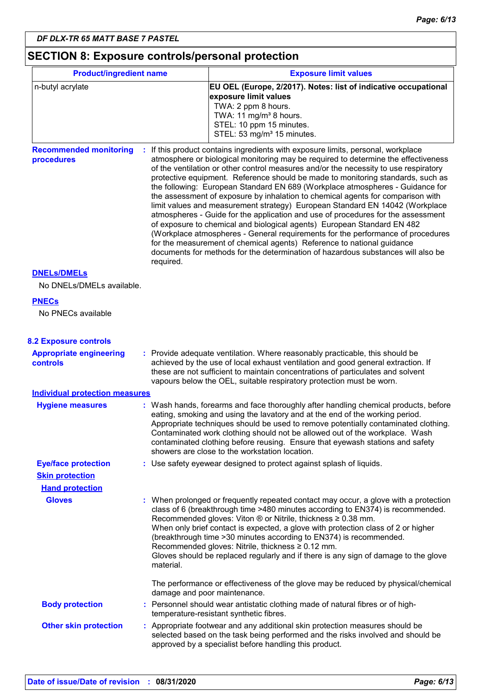# **SECTION 8: Exposure controls/personal protection**

| <b>Product/ingredient name</b>                    |           | <b>Exposure limit values</b>                                                                                                                                                                                                                                                                                                                                                                                                                                                                                                                                                                                                                                                                                                                                                                                                                                                                                                                                                                                        |  |  |
|---------------------------------------------------|-----------|---------------------------------------------------------------------------------------------------------------------------------------------------------------------------------------------------------------------------------------------------------------------------------------------------------------------------------------------------------------------------------------------------------------------------------------------------------------------------------------------------------------------------------------------------------------------------------------------------------------------------------------------------------------------------------------------------------------------------------------------------------------------------------------------------------------------------------------------------------------------------------------------------------------------------------------------------------------------------------------------------------------------|--|--|
| n-butyl acrylate                                  |           | EU OEL (Europe, 2/2017). Notes: list of indicative occupational<br>exposure limit values<br>TWA: 2 ppm 8 hours.<br>TWA: 11 mg/m <sup>3</sup> 8 hours.<br>STEL: 10 ppm 15 minutes.<br>STEL: 53 mg/m <sup>3</sup> 15 minutes.                                                                                                                                                                                                                                                                                                                                                                                                                                                                                                                                                                                                                                                                                                                                                                                         |  |  |
| <b>Recommended monitoring</b><br>procedures       | required. | If this product contains ingredients with exposure limits, personal, workplace<br>atmosphere or biological monitoring may be required to determine the effectiveness<br>of the ventilation or other control measures and/or the necessity to use respiratory<br>protective equipment. Reference should be made to monitoring standards, such as<br>the following: European Standard EN 689 (Workplace atmospheres - Guidance for<br>the assessment of exposure by inhalation to chemical agents for comparison with<br>limit values and measurement strategy) European Standard EN 14042 (Workplace<br>atmospheres - Guide for the application and use of procedures for the assessment<br>of exposure to chemical and biological agents) European Standard EN 482<br>(Workplace atmospheres - General requirements for the performance of procedures<br>for the measurement of chemical agents) Reference to national guidance<br>documents for methods for the determination of hazardous substances will also be |  |  |
| <b>DNELs/DMELs</b><br>No DNELs/DMELs available.   |           |                                                                                                                                                                                                                                                                                                                                                                                                                                                                                                                                                                                                                                                                                                                                                                                                                                                                                                                                                                                                                     |  |  |
| <b>PNECs</b><br>No PNECs available                |           |                                                                                                                                                                                                                                                                                                                                                                                                                                                                                                                                                                                                                                                                                                                                                                                                                                                                                                                                                                                                                     |  |  |
| <b>8.2 Exposure controls</b>                      |           |                                                                                                                                                                                                                                                                                                                                                                                                                                                                                                                                                                                                                                                                                                                                                                                                                                                                                                                                                                                                                     |  |  |
| <b>Appropriate engineering</b><br><b>controls</b> |           | : Provide adequate ventilation. Where reasonably practicable, this should be<br>achieved by the use of local exhaust ventilation and good general extraction. If<br>these are not sufficient to maintain concentrations of particulates and solvent<br>vapours below the OEL, suitable respiratory protection must be worn.                                                                                                                                                                                                                                                                                                                                                                                                                                                                                                                                                                                                                                                                                         |  |  |
| <b>Individual protection measures</b>             |           |                                                                                                                                                                                                                                                                                                                                                                                                                                                                                                                                                                                                                                                                                                                                                                                                                                                                                                                                                                                                                     |  |  |
| <b>Hygiene measures</b>                           |           | : Wash hands, forearms and face thoroughly after handling chemical products, before<br>eating, smoking and using the lavatory and at the end of the working period.<br>Appropriate techniques should be used to remove potentially contaminated clothing.<br>Contaminated work clothing should not be allowed out of the workplace. Wash<br>contaminated clothing before reusing. Ensure that eyewash stations and safety<br>showers are close to the workstation location.                                                                                                                                                                                                                                                                                                                                                                                                                                                                                                                                         |  |  |
| <b>Eye/face protection</b>                        |           | : Use safety eyewear designed to protect against splash of liquids.                                                                                                                                                                                                                                                                                                                                                                                                                                                                                                                                                                                                                                                                                                                                                                                                                                                                                                                                                 |  |  |
| <b>Skin protection</b>                            |           |                                                                                                                                                                                                                                                                                                                                                                                                                                                                                                                                                                                                                                                                                                                                                                                                                                                                                                                                                                                                                     |  |  |
| <b>Hand protection</b>                            |           |                                                                                                                                                                                                                                                                                                                                                                                                                                                                                                                                                                                                                                                                                                                                                                                                                                                                                                                                                                                                                     |  |  |
| <b>Gloves</b>                                     | material. | : When prolonged or frequently repeated contact may occur, a glove with a protection<br>class of 6 (breakthrough time >480 minutes according to EN374) is recommended.<br>Recommended gloves: Viton ® or Nitrile, thickness ≥ 0.38 mm.<br>When only brief contact is expected, a glove with protection class of 2 or higher<br>(breakthrough time > 30 minutes according to EN374) is recommended.<br>Recommended gloves: Nitrile, thickness ≥ 0.12 mm.<br>Gloves should be replaced regularly and if there is any sign of damage to the glove                                                                                                                                                                                                                                                                                                                                                                                                                                                                      |  |  |
|                                                   |           | The performance or effectiveness of the glove may be reduced by physical/chemical<br>damage and poor maintenance.                                                                                                                                                                                                                                                                                                                                                                                                                                                                                                                                                                                                                                                                                                                                                                                                                                                                                                   |  |  |
| <b>Body protection</b>                            |           | : Personnel should wear antistatic clothing made of natural fibres or of high-<br>temperature-resistant synthetic fibres.                                                                                                                                                                                                                                                                                                                                                                                                                                                                                                                                                                                                                                                                                                                                                                                                                                                                                           |  |  |
| <b>Other skin protection</b>                      |           | : Appropriate footwear and any additional skin protection measures should be<br>selected based on the task being performed and the risks involved and should be<br>approved by a specialist before handling this product.                                                                                                                                                                                                                                                                                                                                                                                                                                                                                                                                                                                                                                                                                                                                                                                           |  |  |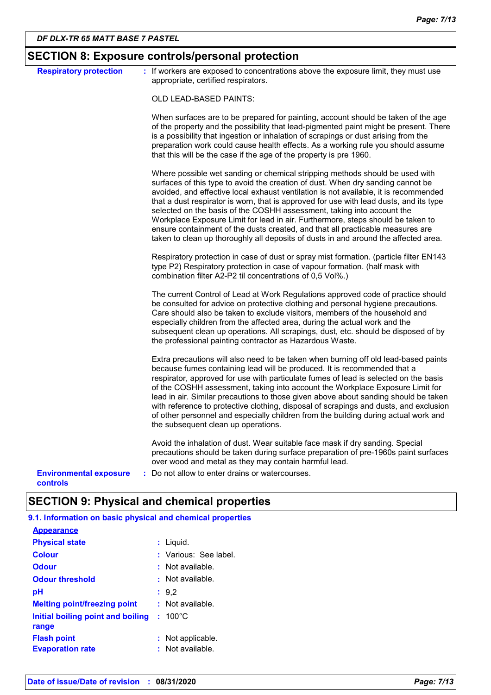|                                           | <b>SECTION 8: Exposure controls/personal protection</b>                                                                                                                                                                                                                                                                                                                                                                                                                                                                                                                                                                                                                                 |
|-------------------------------------------|-----------------------------------------------------------------------------------------------------------------------------------------------------------------------------------------------------------------------------------------------------------------------------------------------------------------------------------------------------------------------------------------------------------------------------------------------------------------------------------------------------------------------------------------------------------------------------------------------------------------------------------------------------------------------------------------|
| <b>Respiratory protection</b>             | : If workers are exposed to concentrations above the exposure limit, they must use<br>appropriate, certified respirators.                                                                                                                                                                                                                                                                                                                                                                                                                                                                                                                                                               |
|                                           | OLD LEAD-BASED PAINTS:                                                                                                                                                                                                                                                                                                                                                                                                                                                                                                                                                                                                                                                                  |
|                                           | When surfaces are to be prepared for painting, account should be taken of the age<br>of the property and the possibility that lead-pigmented paint might be present. There<br>is a possibility that ingestion or inhalation of scrapings or dust arising from the<br>preparation work could cause health effects. As a working rule you should assume<br>that this will be the case if the age of the property is pre 1960.                                                                                                                                                                                                                                                             |
|                                           | Where possible wet sanding or chemical stripping methods should be used with<br>surfaces of this type to avoid the creation of dust. When dry sanding cannot be<br>avoided, and effective local exhaust ventilation is not available, it is recommended<br>that a dust respirator is worn, that is approved for use with lead dusts, and its type<br>selected on the basis of the COSHH assessment, taking into account the<br>Workplace Exposure Limit for lead in air. Furthermore, steps should be taken to<br>ensure containment of the dusts created, and that all practicable measures are<br>taken to clean up thoroughly all deposits of dusts in and around the affected area. |
|                                           | Respiratory protection in case of dust or spray mist formation. (particle filter EN143<br>type P2) Respiratory protection in case of vapour formation. (half mask with<br>combination filter A2-P2 til concentrations of 0,5 Vol%.)                                                                                                                                                                                                                                                                                                                                                                                                                                                     |
|                                           | The current Control of Lead at Work Regulations approved code of practice should<br>be consulted for advice on protective clothing and personal hygiene precautions.<br>Care should also be taken to exclude visitors, members of the household and<br>especially children from the affected area, during the actual work and the<br>subsequent clean up operations. All scrapings, dust, etc. should be disposed of by<br>the professional painting contractor as Hazardous Waste.                                                                                                                                                                                                     |
|                                           | Extra precautions will also need to be taken when burning off old lead-based paints<br>because fumes containing lead will be produced. It is recommended that a<br>respirator, approved for use with particulate fumes of lead is selected on the basis<br>of the COSHH assessment, taking into account the Workplace Exposure Limit for<br>lead in air. Similar precautions to those given above about sanding should be taken<br>with reference to protective clothing, disposal of scrapings and dusts, and exclusion<br>of other personnel and especially children from the building during actual work and<br>the subsequent clean up operations.                                  |
|                                           | Avoid the inhalation of dust. Wear suitable face mask if dry sanding. Special<br>precautions should be taken during surface preparation of pre-1960s paint surfaces<br>over wood and metal as they may contain harmful lead.                                                                                                                                                                                                                                                                                                                                                                                                                                                            |
| <b>Environmental exposure</b><br>controls | Do not allow to enter drains or watercourses.                                                                                                                                                                                                                                                                                                                                                                                                                                                                                                                                                                                                                                           |

# **SECTION 9: Physical and chemical properties**

| 9.1. Information on basic physical and chemical properties |                       |
|------------------------------------------------------------|-----------------------|
| <b>Appearance</b>                                          |                       |
| <b>Physical state</b>                                      | : Liquid.             |
| <b>Colour</b>                                              | : Various: See label. |
| <b>Odour</b>                                               | $:$ Not available.    |
| <b>Odour threshold</b>                                     | : Not available.      |
| pН                                                         | : 9.2                 |
| <b>Melting point/freezing point</b>                        | $:$ Not available.    |
| Initial boiling point and boiling<br>range                 | $: 100^{\circ}$ C     |
| <b>Flash point</b>                                         | Not applicable.       |
| <b>Evaporation rate</b>                                    | Not available.        |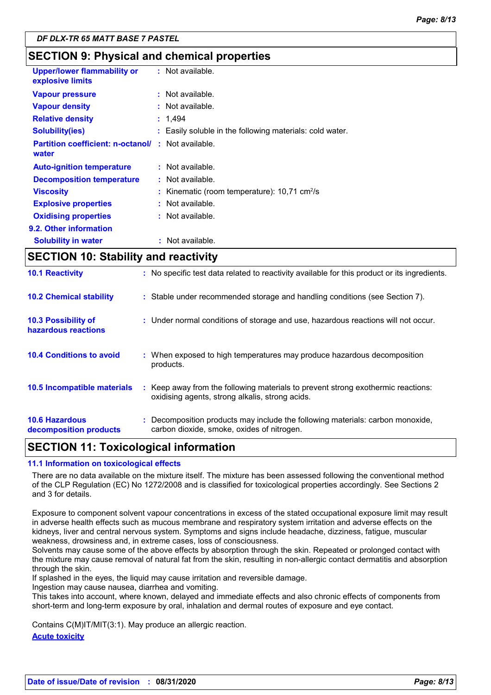# **SECTION 9: Physical and chemical properties**

| <b>Upper/lower flammability or</b><br>explosive limits |   | $:$ Not available.                                       |
|--------------------------------------------------------|---|----------------------------------------------------------|
| <b>Vapour pressure</b>                                 |   | $:$ Not available.                                       |
| <b>Vapour density</b>                                  |   | $:$ Not available.                                       |
| <b>Relative density</b>                                |   | : 1.494                                                  |
| <b>Solubility(ies)</b>                                 |   | : Easily soluble in the following materials: cold water. |
| <b>Partition coefficient: n-octanol/</b><br>water      | ÷ | Not available.                                           |
| <b>Auto-ignition temperature</b>                       |   | $:$ Not available.                                       |
| <b>Decomposition temperature</b>                       |   | $:$ Not available.                                       |
| <b>Viscosity</b>                                       |   | Kinematic (room temperature): 10,71 cm <sup>2</sup> /s   |
| <b>Explosive properties</b>                            |   | $:$ Not available.                                       |
| <b>Oxidising properties</b>                            |   | : Not available.                                         |
| 9.2. Other information                                 |   |                                                          |
| <b>Solubility in water</b>                             |   | Not available.                                           |

# **SECTION 10: Stability and reactivity**

| <b>10.6 Hazardous</b><br>decomposition products | : Decomposition products may include the following materials: carbon monoxide,<br>carbon dioxide, smoke, oxides of nitrogen.        |
|-------------------------------------------------|-------------------------------------------------------------------------------------------------------------------------------------|
| 10.5 Incompatible materials                     | : Keep away from the following materials to prevent strong exothermic reactions:<br>oxidising agents, strong alkalis, strong acids. |
| <b>10.4 Conditions to avoid</b>                 | : When exposed to high temperatures may produce hazardous decomposition<br>products.                                                |
| 10.3 Possibility of<br>hazardous reactions      | : Under normal conditions of storage and use, hazardous reactions will not occur.                                                   |
| <b>10.2 Chemical stability</b>                  | : Stable under recommended storage and handling conditions (see Section 7).                                                         |
| <b>10.1 Reactivity</b>                          | : No specific test data related to reactivity available for this product or its ingredients.                                        |

# **SECTION 11: Toxicological information**

#### **11.1 Information on toxicological effects**

There are no data available on the mixture itself. The mixture has been assessed following the conventional method of the CLP Regulation (EC) No 1272/2008 and is classified for toxicological properties accordingly. See Sections 2 and 3 for details.

Exposure to component solvent vapour concentrations in excess of the stated occupational exposure limit may result in adverse health effects such as mucous membrane and respiratory system irritation and adverse effects on the kidneys, liver and central nervous system. Symptoms and signs include headache, dizziness, fatigue, muscular weakness, drowsiness and, in extreme cases, loss of consciousness.

Solvents may cause some of the above effects by absorption through the skin. Repeated or prolonged contact with the mixture may cause removal of natural fat from the skin, resulting in non-allergic contact dermatitis and absorption through the skin.

If splashed in the eyes, the liquid may cause irritation and reversible damage.

Ingestion may cause nausea, diarrhea and vomiting.

This takes into account, where known, delayed and immediate effects and also chronic effects of components from short-term and long-term exposure by oral, inhalation and dermal routes of exposure and eye contact.

Contains C(M)IT/MIT(3:1). May produce an allergic reaction.

**Acute toxicity**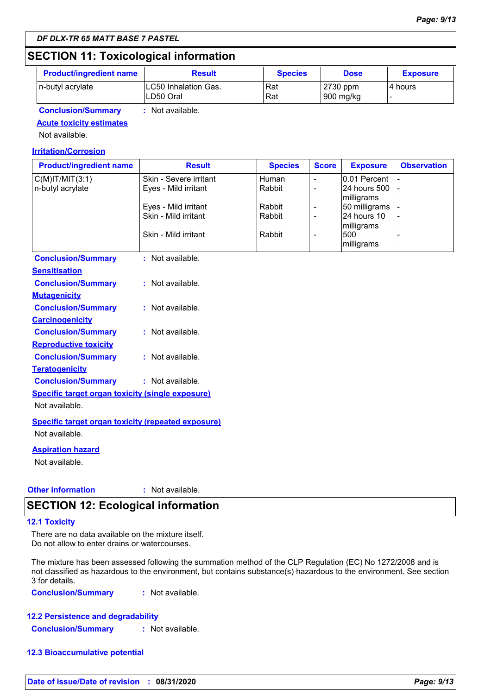# **SECTION 11: Toxicological information**

| <b>Product/ingredient name</b> | <b>Result</b>                      | <b>Species</b> | <b>Dose</b>             | <b>Exposure</b> |
|--------------------------------|------------------------------------|----------------|-------------------------|-----------------|
| n-butyl acrylate               | ILC50 Inhalation Gas.<br>LD50 Oral | Rat<br>Rat     | $2730$ ppm<br>900 mg/kg | 14 hours        |
| <b>Conclusion/Summary</b>      | Not available.                     |                |                         |                 |

# **Acute toxicity estimates**

Not available.

#### **Irritation/Corrosion**

| <b>Product/ingredient name</b> | <b>Result</b>          | <b>Species</b> | <b>Score</b> | <b>Exposure</b>                   | <b>Observation</b> |
|--------------------------------|------------------------|----------------|--------------|-----------------------------------|--------------------|
| C(M) T/MIT(3:1)                | Skin - Severe irritant | Human          |              | $0.01$ Percent                    |                    |
| n-butyl acrylate               | Eyes - Mild irritant   | Rabbit         |              | 124 hours 500 1 -<br>milligrams   |                    |
|                                | Eyes - Mild irritant   | Rabbit         |              | 50 milligrams -                   |                    |
|                                | Skin - Mild irritant   | Rabbit         |              | 24 hours 10<br><i>Imilligrams</i> |                    |
|                                | Skin - Mild irritant   | Rabbit         |              | 500<br>milligrams                 |                    |

| <b>Conclusion/Summary</b>                               | : Not available.   |
|---------------------------------------------------------|--------------------|
| <b>Sensitisation</b>                                    |                    |
| <b>Conclusion/Summary</b>                               | : Not available.   |
| <u>Mutagenicity</u>                                     |                    |
| <b>Conclusion/Summary</b>                               | $:$ Not available. |
| <b>Carcinogenicity</b>                                  |                    |
| <b>Conclusion/Summary</b>                               | $:$ Not available. |
| <b>Reproductive toxicity</b>                            |                    |
| <b>Conclusion/Summary</b>                               | : Not available.   |
| <b>Teratogenicity</b>                                   |                    |
| <b>Conclusion/Summary</b>                               | : Not available.   |
| <b>Specific target organ toxicity (single exposure)</b> |                    |
| Not available.                                          |                    |
|                                                         |                    |

**Specific target organ toxicity (repeated exposure)** Not available.

**Aspiration hazard**

Not available.

#### **Other information :** : Not available.

# **SECTION 12: Ecological information**

#### **12.1 Toxicity**

There are no data available on the mixture itself. Do not allow to enter drains or watercourses.

The mixture has been assessed following the summation method of the CLP Regulation (EC) No 1272/2008 and is not classified as hazardous to the environment, but contains substance(s) hazardous to the environment. See section 3 for details.

**Conclusion/Summary :** Not available.

#### **12.2 Persistence and degradability**

**Conclusion/Summary :** Not available.

#### **12.3 Bioaccumulative potential**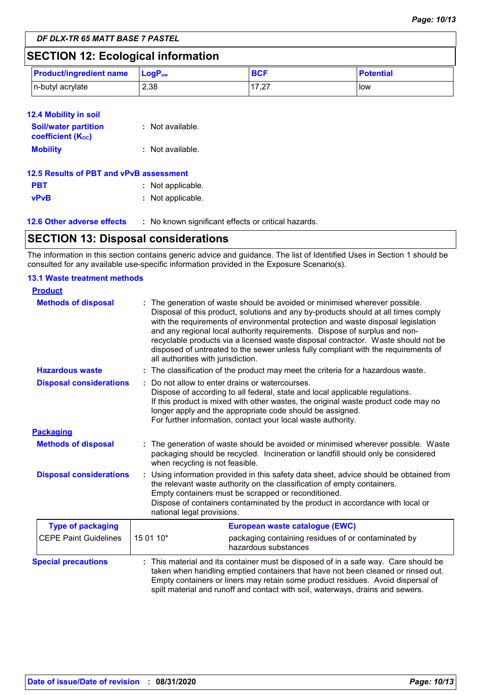# **SECTION 12: Ecological information**

| <b>Product/ingredient name</b> | $\mathsf{LocP}_\mathsf{ow}$ | <b>BCF</b>         | <b>Potential</b> |
|--------------------------------|-----------------------------|--------------------|------------------|
| n-butyl acrylate               | 2,38                        | $-17.27$<br>ا ے, ا | l low            |

| <b>12.4 Mobility in soil</b>                            |                  |
|---------------------------------------------------------|------------------|
| <b>Soil/water partition</b><br><b>coefficient (Koc)</b> | : Not available. |
| <b>Mobility</b>                                         | : Not available. |

| 12.5 Results of PBT and vPvB assessment |                   |
|-----------------------------------------|-------------------|
| <b>PBT</b>                              | : Not applicable. |
| vPvB                                    | : Not applicable. |

**12.6 Other adverse effects** : No known significant effects or critical hazards.

# **SECTION 13: Disposal considerations**

The information in this section contains generic advice and guidance. The list of Identified Uses in Section 1 should be consulted for any available use-specific information provided in the Exposure Scenario(s).

#### **13.1 Waste treatment methods**

| <b>Product</b>                 |                                                                                                                                                                                                                                                                                                                                                                                                                                                                                                                                                    |                                                                                                                                                                                                                                                                                                                                                  |  |
|--------------------------------|----------------------------------------------------------------------------------------------------------------------------------------------------------------------------------------------------------------------------------------------------------------------------------------------------------------------------------------------------------------------------------------------------------------------------------------------------------------------------------------------------------------------------------------------------|--------------------------------------------------------------------------------------------------------------------------------------------------------------------------------------------------------------------------------------------------------------------------------------------------------------------------------------------------|--|
| <b>Methods of disposal</b>     | The generation of waste should be avoided or minimised wherever possible.<br>Disposal of this product, solutions and any by-products should at all times comply<br>with the requirements of environmental protection and waste disposal legislation<br>and any regional local authority requirements. Dispose of surplus and non-<br>recyclable products via a licensed waste disposal contractor. Waste should not be<br>disposed of untreated to the sewer unless fully compliant with the requirements of<br>all authorities with jurisdiction. |                                                                                                                                                                                                                                                                                                                                                  |  |
| <b>Hazardous waste</b>         |                                                                                                                                                                                                                                                                                                                                                                                                                                                                                                                                                    | : The classification of the product may meet the criteria for a hazardous waste.                                                                                                                                                                                                                                                                 |  |
| <b>Disposal considerations</b> |                                                                                                                                                                                                                                                                                                                                                                                                                                                                                                                                                    | Do not allow to enter drains or watercourses.<br>Dispose of according to all federal, state and local applicable regulations.<br>If this product is mixed with other wastes, the original waste product code may no<br>longer apply and the appropriate code should be assigned.<br>For further information, contact your local waste authority. |  |
| <b>Packaging</b>               |                                                                                                                                                                                                                                                                                                                                                                                                                                                                                                                                                    |                                                                                                                                                                                                                                                                                                                                                  |  |
| <b>Methods of disposal</b>     | : The generation of waste should be avoided or minimised wherever possible. Waste<br>packaging should be recycled. Incineration or landfill should only be considered<br>when recycling is not feasible.                                                                                                                                                                                                                                                                                                                                           |                                                                                                                                                                                                                                                                                                                                                  |  |
| <b>Disposal considerations</b> | Using information provided in this safety data sheet, advice should be obtained from<br>the relevant waste authority on the classification of empty containers.<br>Empty containers must be scrapped or reconditioned.<br>Dispose of containers contaminated by the product in accordance with local or<br>national legal provisions.                                                                                                                                                                                                              |                                                                                                                                                                                                                                                                                                                                                  |  |
| <b>Type of packaging</b>       |                                                                                                                                                                                                                                                                                                                                                                                                                                                                                                                                                    | European waste catalogue (EWC)                                                                                                                                                                                                                                                                                                                   |  |
| <b>CEPE Paint Guidelines</b>   | 15 01 10*                                                                                                                                                                                                                                                                                                                                                                                                                                                                                                                                          | packaging containing residues of or contaminated by<br>hazardous substances                                                                                                                                                                                                                                                                      |  |
| <b>Special precautions</b>     | : This material and its container must be disposed of in a safe way. Care should be<br>taken when handling emptied containers that have not been cleaned or rinsed out.<br>Empty containers or liners may retain some product residues. Avoid dispersal of<br>spilt material and runoff and contact with soil, waterways, drains and sewers.                                                                                                                                                                                                       |                                                                                                                                                                                                                                                                                                                                                  |  |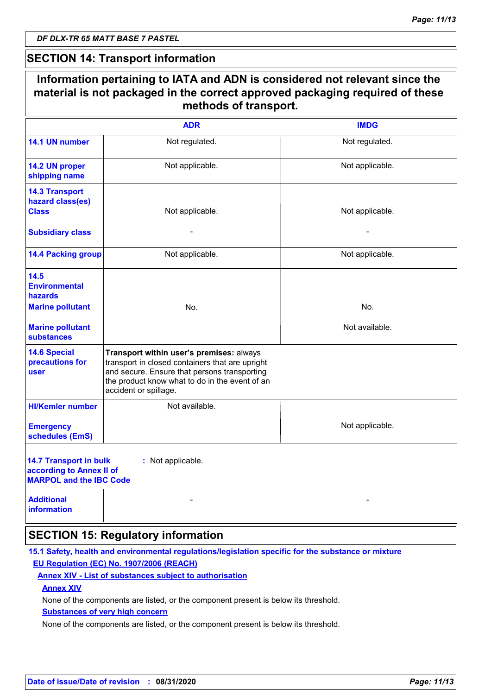$\mathsf{r}$ 

# **SECTION 14: Transport information**

|                                                                                             | <b>ADR</b>                                                                                                                                                                                                             | <b>IMDG</b>     |
|---------------------------------------------------------------------------------------------|------------------------------------------------------------------------------------------------------------------------------------------------------------------------------------------------------------------------|-----------------|
| 14.1 UN number                                                                              | Not regulated.                                                                                                                                                                                                         | Not regulated.  |
| 14.2 UN proper<br>shipping name                                                             | Not applicable.                                                                                                                                                                                                        | Not applicable. |
| <b>14.3 Transport</b><br>hazard class(es)<br><b>Class</b>                                   | Not applicable.                                                                                                                                                                                                        | Not applicable. |
| <b>Subsidiary class</b>                                                                     |                                                                                                                                                                                                                        |                 |
| <b>14.4 Packing group</b>                                                                   | Not applicable.                                                                                                                                                                                                        | Not applicable. |
| 14.5<br><b>Environmental</b><br>hazards                                                     |                                                                                                                                                                                                                        |                 |
| <b>Marine pollutant</b>                                                                     | No.                                                                                                                                                                                                                    | No.             |
| <b>Marine pollutant</b><br><b>substances</b>                                                |                                                                                                                                                                                                                        | Not available.  |
| <b>14.6 Special</b><br>precautions for<br>user                                              | Transport within user's premises: always<br>transport in closed containers that are upright<br>and secure. Ensure that persons transporting<br>the product know what to do in the event of an<br>accident or spillage. |                 |
| <b>HI/Kemler number</b>                                                                     | Not available.                                                                                                                                                                                                         |                 |
| <b>Emergency</b><br>schedules (EmS)                                                         |                                                                                                                                                                                                                        | Not applicable. |
| <b>14.7 Transport in bulk</b><br>according to Annex II of<br><b>MARPOL and the IBC Code</b> | : Not applicable.                                                                                                                                                                                                      |                 |
| <b>Additional</b><br><b>information</b>                                                     |                                                                                                                                                                                                                        |                 |

## **15.1 Safety, health and environmental regulations/legislation specific for the substance or mixture EU Regulation (EC) No. 1907/2006 (REACH)**

#### **Annex XIV - List of substances subject to authorisation**

#### **Annex XIV**

None of the components are listed, or the component present is below its threshold.

#### **Substances of very high concern**

None of the components are listed, or the component present is below its threshold.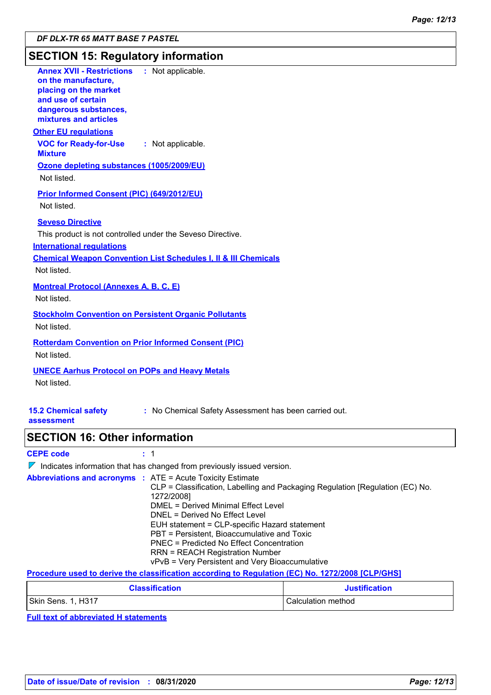# **SECTION 15: Regulatory information**

| <b>Annex XVII - Restrictions</b><br>: Not applicable.<br>on the manufacture,<br>placing on the market<br>and use of certain<br>dangerous substances,<br>mixtures and articles                                                                                                                                                                                                                                                                                                                    |  |
|--------------------------------------------------------------------------------------------------------------------------------------------------------------------------------------------------------------------------------------------------------------------------------------------------------------------------------------------------------------------------------------------------------------------------------------------------------------------------------------------------|--|
| <b>Other EU requlations</b><br><b>VOC for Ready-for-Use</b><br>: Not applicable.<br><b>Mixture</b>                                                                                                                                                                                                                                                                                                                                                                                               |  |
| Ozone depleting substances (1005/2009/EU)<br>Not listed.                                                                                                                                                                                                                                                                                                                                                                                                                                         |  |
| Prior Informed Consent (PIC) (649/2012/EU)<br>Not listed.                                                                                                                                                                                                                                                                                                                                                                                                                                        |  |
| <b>Seveso Directive</b><br>This product is not controlled under the Seveso Directive.<br><b>International regulations</b><br><b>Chemical Weapon Convention List Schedules I, II &amp; III Chemicals</b><br>Not listed.                                                                                                                                                                                                                                                                           |  |
| <b>Montreal Protocol (Annexes A, B, C, E)</b><br>Not listed.                                                                                                                                                                                                                                                                                                                                                                                                                                     |  |
| <b>Stockholm Convention on Persistent Organic Pollutants</b><br>Not listed.                                                                                                                                                                                                                                                                                                                                                                                                                      |  |
| <b>Rotterdam Convention on Prior Informed Consent (PIC)</b><br>Not listed.                                                                                                                                                                                                                                                                                                                                                                                                                       |  |
| <b>UNECE Aarhus Protocol on POPs and Heavy Metals</b><br>Not listed.                                                                                                                                                                                                                                                                                                                                                                                                                             |  |
| : No Chemical Safety Assessment has been carried out.<br><b>15.2 Chemical safety</b><br>assessment                                                                                                                                                                                                                                                                                                                                                                                               |  |
| <b>SECTION 16: Other information</b>                                                                                                                                                                                                                                                                                                                                                                                                                                                             |  |
| <b>CEPE code</b><br>: 1                                                                                                                                                                                                                                                                                                                                                                                                                                                                          |  |
| $\nabla$ Indicates information that has changed from previously issued version.                                                                                                                                                                                                                                                                                                                                                                                                                  |  |
| <b>Abbreviations and acronyms : ATE = Acute Toxicity Estimate</b><br>CLP = Classification, Labelling and Packaging Regulation [Regulation (EC) No.<br>1272/2008]<br><b>DMEL = Derived Minimal Effect Level</b><br>DNEL = Derived No Effect Level<br>EUH statement = CLP-specific Hazard statement<br>PBT = Persistent, Bioaccumulative and Toxic<br><b>PNEC = Predicted No Effect Concentration</b><br><b>RRN = REACH Registration Number</b><br>vPvB = Very Persistent and Very Bioaccumulative |  |
| Procedure used to derive the classification according to Regulation (EC) No. 1272/2008 [CLP/GHS]                                                                                                                                                                                                                                                                                                                                                                                                 |  |
|                                                                                                                                                                                                                                                                                                                                                                                                                                                                                                  |  |

| <b>Classification</b> | <b>Justification</b> |
|-----------------------|----------------------|
| Skin Sens. 1, H317    | Calculation method   |

**Full text of abbreviated H statements**